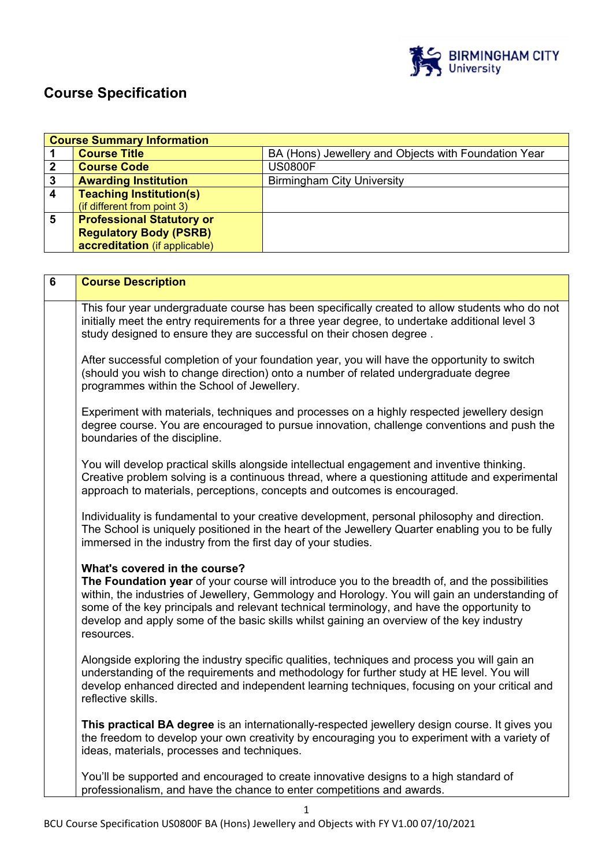

# **Course Specification**

|                         | <b>Course Summary Information</b>                                                           |                                                                                                  |  |
|-------------------------|---------------------------------------------------------------------------------------------|--------------------------------------------------------------------------------------------------|--|
| 1                       | <b>Course Title</b>                                                                         | BA (Hons) Jewellery and Objects with Foundation Year                                             |  |
| $\mathbf 2$             | <b>Course Code</b>                                                                          | <b>US0800F</b>                                                                                   |  |
| $\mathbf 3$             | <b>Awarding Institution</b>                                                                 | <b>Birmingham City University</b>                                                                |  |
| $\overline{\mathbf{4}}$ | <b>Teaching Institution(s)</b>                                                              |                                                                                                  |  |
|                         | (if different from point 3)                                                                 |                                                                                                  |  |
| 5                       | <b>Professional Statutory or</b>                                                            |                                                                                                  |  |
|                         | <b>Regulatory Body (PSRB)</b>                                                               |                                                                                                  |  |
|                         | accreditation (if applicable)                                                               |                                                                                                  |  |
|                         |                                                                                             |                                                                                                  |  |
|                         |                                                                                             |                                                                                                  |  |
| 6                       | <b>Course Description</b>                                                                   |                                                                                                  |  |
|                         |                                                                                             | This four year undergraduate course has been specifically created to allow students who do not   |  |
|                         |                                                                                             | initially meet the entry requirements for a three year degree, to undertake additional level 3   |  |
|                         | study designed to ensure they are successful on their chosen degree.                        |                                                                                                  |  |
|                         |                                                                                             |                                                                                                  |  |
|                         |                                                                                             | After successful completion of your foundation year, you will have the opportunity to switch     |  |
|                         |                                                                                             | (should you wish to change direction) onto a number of related undergraduate degree              |  |
|                         | programmes within the School of Jewellery.                                                  |                                                                                                  |  |
|                         |                                                                                             |                                                                                                  |  |
|                         | Experiment with materials, techniques and processes on a highly respected jewellery design  |                                                                                                  |  |
|                         | degree course. You are encouraged to pursue innovation, challenge conventions and push the  |                                                                                                  |  |
|                         | boundaries of the discipline.                                                               |                                                                                                  |  |
|                         | You will develop practical skills alongside intellectual engagement and inventive thinking. |                                                                                                  |  |
|                         |                                                                                             | Creative problem solving is a continuous thread, where a questioning attitude and experimental   |  |
|                         |                                                                                             | approach to materials, perceptions, concepts and outcomes is encouraged.                         |  |
|                         |                                                                                             |                                                                                                  |  |
|                         |                                                                                             | Individuality is fundamental to your creative development, personal philosophy and direction.    |  |
|                         |                                                                                             | The School is uniquely positioned in the heart of the Jewellery Quarter enabling you to be fully |  |
|                         | immersed in the industry from the first day of your studies.                                |                                                                                                  |  |
|                         |                                                                                             |                                                                                                  |  |
|                         | What's covered in the course?                                                               |                                                                                                  |  |
|                         |                                                                                             | The Foundation year of your course will introduce you to the breadth of, and the possibilities   |  |
|                         |                                                                                             | within, the industries of Jewellery, Gemmology and Horology. You will gain an understanding of   |  |
|                         |                                                                                             | some of the key principals and relevant technical terminology, and have the opportunity to       |  |
|                         |                                                                                             | develop and apply some of the basic skills whilst gaining an overview of the key industry        |  |
|                         | resources.                                                                                  |                                                                                                  |  |
|                         |                                                                                             |                                                                                                  |  |
|                         |                                                                                             | Alongside exploring the industry specific qualities, techniques and process you will gain an     |  |
|                         |                                                                                             | understanding of the requirements and methodology for further study at HE level. You will        |  |
|                         |                                                                                             | develop enhanced directed and independent learning techniques, focusing on your critical and     |  |
|                         | reflective skills.                                                                          |                                                                                                  |  |
|                         |                                                                                             |                                                                                                  |  |
|                         |                                                                                             | This practical BA degree is an internationally-respected jewellery design course. It gives you   |  |
|                         |                                                                                             | the freedom to develop your own creativity by encouraging you to experiment with a variety of    |  |
|                         | ideas, materials, processes and techniques.                                                 |                                                                                                  |  |
|                         |                                                                                             |                                                                                                  |  |
|                         |                                                                                             | You'll be supported and encouraged to create innovative designs to a high standard of            |  |
|                         |                                                                                             | professionalism, and have the chance to enter competitions and awards.                           |  |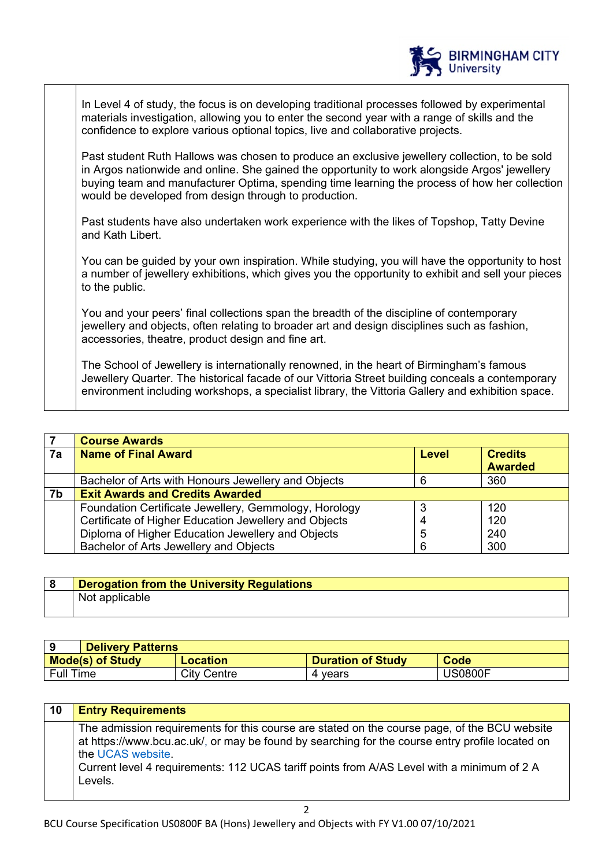

In Level 4 of study, the focus is on developing traditional processes followed by experimental materials investigation, allowing you to enter the second year with a range of skills and the confidence to explore various optional topics, live and collaborative projects.

Past student Ruth Hallows was chosen to produce an exclusive jewellery collection, to be sold in Argos nationwide and online. She gained the opportunity to work alongside Argos' jewellery buying team and manufacturer Optima, spending time learning the process of how her collection would be developed from design through to production.

Past students have also undertaken work experience with the likes of Topshop, Tatty Devine and Kath Libert.

You can be guided by your own inspiration. While studying, you will have the opportunity to host a number of jewellery exhibitions, which gives you the opportunity to exhibit and sell your pieces to the public.

You and your peers' final collections span the breadth of the discipline of contemporary jewellery and objects, often relating to broader art and design disciplines such as fashion, accessories, theatre, product design and fine art.

The School of Jewellery is internationally renowned, in the heart of Birmingham's famous Jewellery Quarter. The historical facade of our Vittoria Street building conceals a contemporary environment including workshops, a specialist library, the Vittoria Gallery and exhibition space.

|    | <b>Course Awards</b>                                  |              |                                  |
|----|-------------------------------------------------------|--------------|----------------------------------|
| 7a | <b>Name of Final Award</b>                            | <b>Level</b> | <b>Credits</b><br><b>Awarded</b> |
|    | Bachelor of Arts with Honours Jewellery and Objects   |              | 360                              |
| 7b | <b>Exit Awards and Credits Awarded</b>                |              |                                  |
|    | Foundation Certificate Jewellery, Gemmology, Horology |              | 120                              |
|    | Certificate of Higher Education Jewellery and Objects |              | 120                              |
|    | Diploma of Higher Education Jewellery and Objects     | 5            | 240                              |
|    | Bachelor of Arts Jewellery and Objects                | 6            | 300                              |

| <b>Derogation from the University Regulations</b> |
|---------------------------------------------------|
| Not applicable                                    |

|                         | <b>Delivery Patterns</b> |                 |                          |                |
|-------------------------|--------------------------|-----------------|--------------------------|----------------|
| <b>Mode(s) of Study</b> |                          | <b>Location</b> | <b>Duration of Study</b> | <b>Code</b>    |
| <b>Full Time</b>        |                          | City Centre     | 4 vears                  | <b>JS0800F</b> |

| 10 | <b>Entry Requirements</b>                                                                                                                                                                                                                                                                                                     |
|----|-------------------------------------------------------------------------------------------------------------------------------------------------------------------------------------------------------------------------------------------------------------------------------------------------------------------------------|
|    | The admission requirements for this course are stated on the course page, of the BCU website<br>at https://www.bcu.ac.uk/, or may be found by searching for the course entry profile located on<br>the UCAS website.<br>Current level 4 requirements: 112 UCAS tariff points from A/AS Level with a minimum of 2 A<br>Levels. |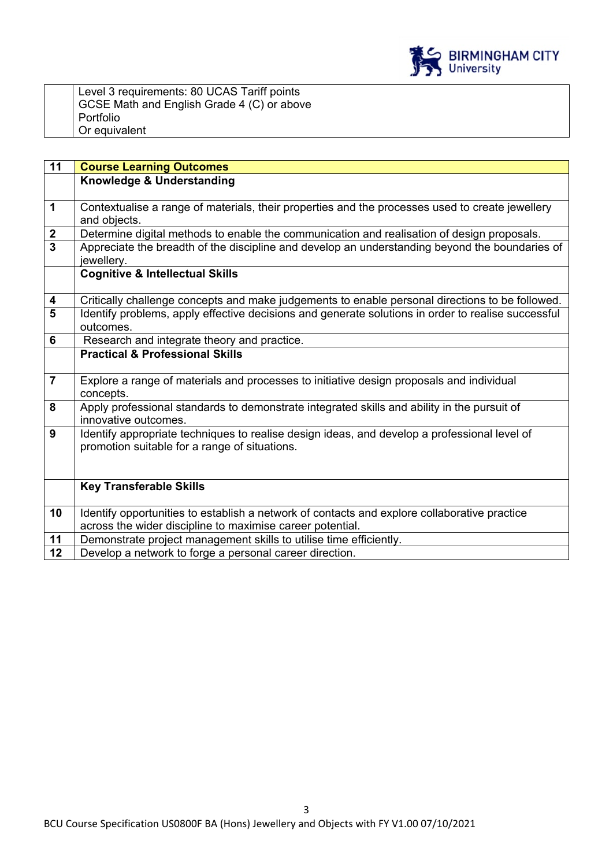

| Level 3 requirements: 80 UCAS Tariff points |
|---------------------------------------------|
| GCSE Math and English Grade 4 (C) or above  |
| Portfolio                                   |
| l Or equivalent                             |

| 11                      | <b>Course Learning Outcomes</b>                                                                                                               |
|-------------------------|-----------------------------------------------------------------------------------------------------------------------------------------------|
|                         | Knowledge & Understanding                                                                                                                     |
| $\mathbf 1$             | Contextualise a range of materials, their properties and the processes used to create jewellery<br>and objects.                               |
| $\boldsymbol{2}$        | Determine digital methods to enable the communication and realisation of design proposals.                                                    |
| $\overline{\mathbf{3}}$ | Appreciate the breadth of the discipline and develop an understanding beyond the boundaries of<br>jewellery.                                  |
|                         | <b>Cognitive &amp; Intellectual Skills</b>                                                                                                    |
| $\overline{\mathbf{4}}$ | Critically challenge concepts and make judgements to enable personal directions to be followed.                                               |
| 5                       | Identify problems, apply effective decisions and generate solutions in order to realise successful<br>outcomes.                               |
| $\bf 6$                 | Research and integrate theory and practice.                                                                                                   |
|                         | <b>Practical &amp; Professional Skills</b>                                                                                                    |
| $\overline{7}$          | Explore a range of materials and processes to initiative design proposals and individual<br>concepts.                                         |
| 8                       | Apply professional standards to demonstrate integrated skills and ability in the pursuit of<br>innovative outcomes.                           |
| 9                       | Identify appropriate techniques to realise design ideas, and develop a professional level of<br>promotion suitable for a range of situations. |
|                         | <b>Key Transferable Skills</b>                                                                                                                |
| 10                      | Identify opportunities to establish a network of contacts and explore collaborative practice                                                  |
|                         | across the wider discipline to maximise career potential.                                                                                     |
| 11                      | Demonstrate project management skills to utilise time efficiently.                                                                            |
| 12                      | Develop a network to forge a personal career direction.                                                                                       |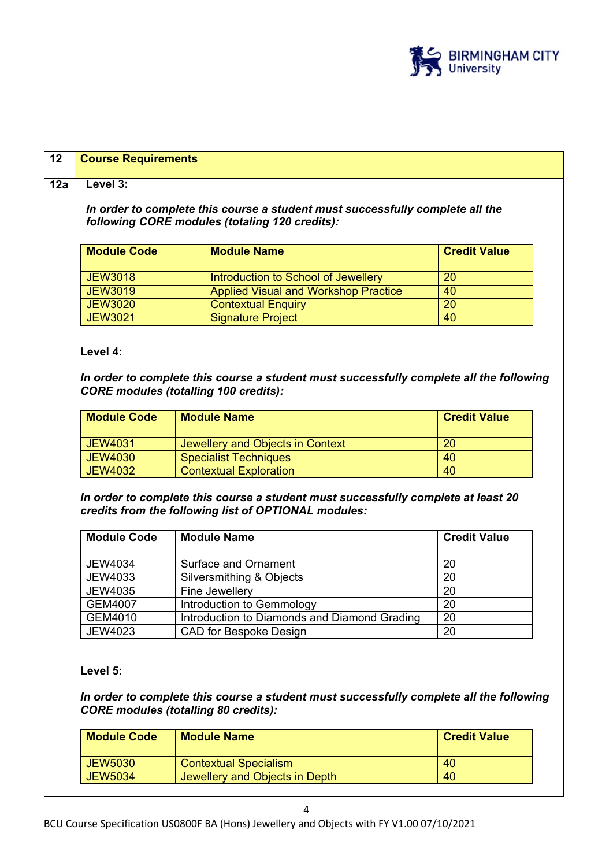

| In order to complete this course a student must successfully complete all the<br>following CORE modules (totaling 120 credits):<br><b>Module Name</b><br>Introduction to School of Jewellery<br><b>Applied Visual and Workshop Practice</b><br><b>Contextual Enquiry</b><br><b>Signature Project</b> | <b>Credit Value</b><br>20<br>40<br>$\overline{20}$<br>40 |
|------------------------------------------------------------------------------------------------------------------------------------------------------------------------------------------------------------------------------------------------------------------------------------------------------|----------------------------------------------------------|
|                                                                                                                                                                                                                                                                                                      |                                                          |
|                                                                                                                                                                                                                                                                                                      |                                                          |
|                                                                                                                                                                                                                                                                                                      |                                                          |
|                                                                                                                                                                                                                                                                                                      |                                                          |
|                                                                                                                                                                                                                                                                                                      |                                                          |
|                                                                                                                                                                                                                                                                                                      |                                                          |
| In order to complete this course a student must successfully complete all the following<br><b>CORE modules (totalling 100 credits):</b>                                                                                                                                                              |                                                          |
|                                                                                                                                                                                                                                                                                                      | <b>Credit Value</b>                                      |
|                                                                                                                                                                                                                                                                                                      | 20                                                       |
|                                                                                                                                                                                                                                                                                                      |                                                          |
|                                                                                                                                                                                                                                                                                                      | 40                                                       |
| <b>Specialist Techniques</b><br><b>Contextual Exploration</b>                                                                                                                                                                                                                                        | 40                                                       |
| In order to complete this course a student must successfully complete at least 20<br>credits from the following list of OPTIONAL modules:<br><b>Module Name</b>                                                                                                                                      | <b>Credit Value</b>                                      |
|                                                                                                                                                                                                                                                                                                      |                                                          |
| <b>Surface and Ornament</b>                                                                                                                                                                                                                                                                          | 20                                                       |
| <b>Silversmithing &amp; Objects</b>                                                                                                                                                                                                                                                                  | 20                                                       |
| Fine Jewellery                                                                                                                                                                                                                                                                                       | 20                                                       |
| Introduction to Gemmology<br>Introduction to Diamonds and Diamond Grading                                                                                                                                                                                                                            | $\overline{20}$<br>20                                    |
|                                                                                                                                                                                                                                                                                                      | <b>Module Name</b><br>Jewellery and Objects in Context   |

JEW5034 Jewellery and Objects in Depth 40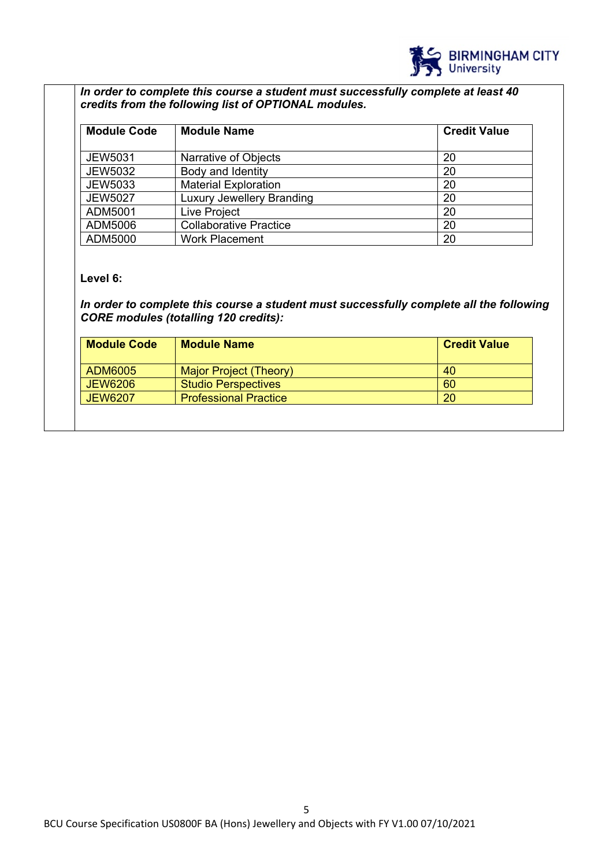

*In order to complete this course a student must successfully complete at least 40 credits from the following list of OPTIONAL modules.* 

| <b>Module Code</b> | <b>Module Name</b>               | <b>Credit Value</b> |
|--------------------|----------------------------------|---------------------|
| JEW5031            | Narrative of Objects             | 20                  |
| JEW5032            | Body and Identity                | 20                  |
| JEW5033            | <b>Material Exploration</b>      | 20                  |
| <b>JEW5027</b>     | <b>Luxury Jewellery Branding</b> | 20                  |
| ADM5001            | Live Project                     | 20                  |
| ADM5006            | <b>Collaborative Practice</b>    | 20                  |
| ADM5000            | <b>Work Placement</b>            | 20                  |

# **Level 6:**

*In order to complete this course a student must successfully complete all the following CORE modules (totalling 120 credits):*

| <b>Module Code</b> | <b>Module Name</b>           | <b>Credit Value</b> |
|--------------------|------------------------------|---------------------|
| ADM6005            | Major Project (Theory)       | 40                  |
| JEW6206            | <b>Studio Perspectives</b>   | 60                  |
| JEW6207            | <b>Professional Practice</b> | 20                  |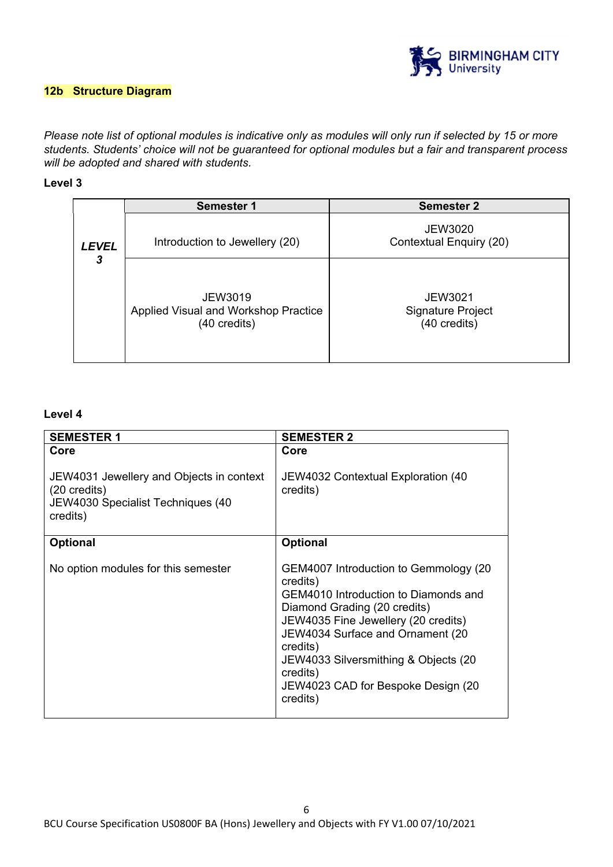

# **12b Structure Diagram**

*Please note list of optional modules is indicative only as modules will only run if selected by 15 or more students. Students' choice will not be guaranteed for optional modules but a fair and transparent process will be adopted and shared with students.*

# **Level 3**

|              | <b>Semester 1</b>                                               | <b>Semester 2</b>                                   |
|--------------|-----------------------------------------------------------------|-----------------------------------------------------|
| <b>LEVEL</b> | Introduction to Jewellery (20)                                  | JEW3020<br>Contextual Enquiry (20)                  |
| 3            | JEW3019<br>Applied Visual and Workshop Practice<br>(40 credits) | JEW3021<br><b>Signature Project</b><br>(40 credits) |

# **Level 4**

| <b>SEMESTER 1</b>                                                                                                   | <b>SEMESTER 2</b>                                                                                                                                                                                                                                                                                                         |
|---------------------------------------------------------------------------------------------------------------------|---------------------------------------------------------------------------------------------------------------------------------------------------------------------------------------------------------------------------------------------------------------------------------------------------------------------------|
| Core                                                                                                                | Core                                                                                                                                                                                                                                                                                                                      |
| JEW4031 Jewellery and Objects in context<br>$(20 \text{ credits})$<br>JEW4030 Specialist Techniques (40<br>credits) | JEW4032 Contextual Exploration (40<br>credits)                                                                                                                                                                                                                                                                            |
| <b>Optional</b>                                                                                                     | <b>Optional</b>                                                                                                                                                                                                                                                                                                           |
| No option modules for this semester                                                                                 | GEM4007 Introduction to Gemmology (20)<br>credits)<br>GEM4010 Introduction to Diamonds and<br>Diamond Grading (20 credits)<br>JEW4035 Fine Jewellery (20 credits)<br>JEW4034 Surface and Ornament (20<br>credits)<br>JEW4033 Silversmithing & Objects (20)<br>credits)<br>JEW4023 CAD for Bespoke Design (20)<br>credits) |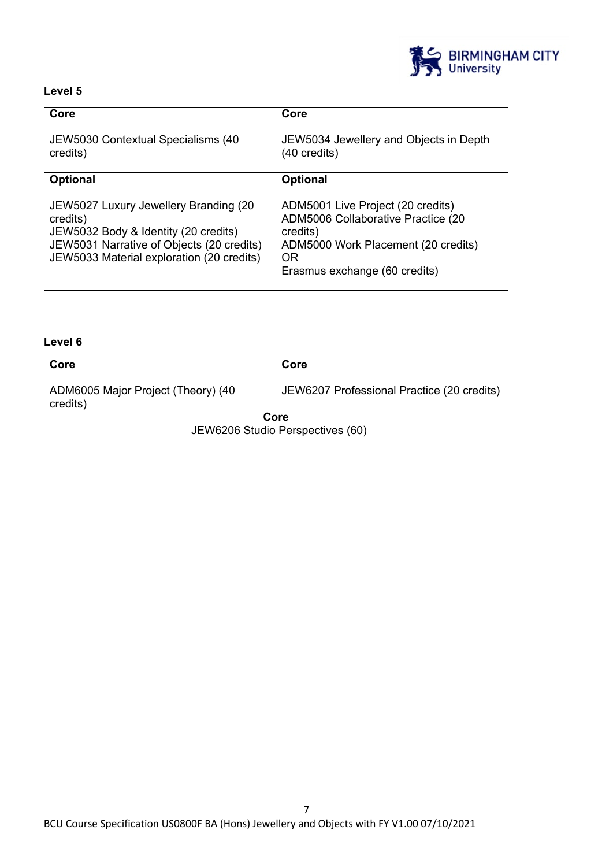

# **Level 5**

| Core                                                                                                                                                                                | Core                                                                                                                                                                          |
|-------------------------------------------------------------------------------------------------------------------------------------------------------------------------------------|-------------------------------------------------------------------------------------------------------------------------------------------------------------------------------|
| <b>JEW5030 Contextual Specialisms (40)</b><br>credits)                                                                                                                              | JEW5034 Jewellery and Objects in Depth<br>(40 credits)                                                                                                                        |
| <b>Optional</b>                                                                                                                                                                     | <b>Optional</b>                                                                                                                                                               |
| JEW5027 Luxury Jewellery Branding (20<br>credits)<br>JEW5032 Body & Identity (20 credits)<br>JEW5031 Narrative of Objects (20 credits)<br>JEW5033 Material exploration (20 credits) | ADM5001 Live Project (20 credits)<br>ADM5006 Collaborative Practice (20<br>credits)<br>ADM5000 Work Placement (20 credits)<br>0 <sub>R</sub><br>Erasmus exchange (60 credits) |

# **Level 6**

| Core                                           | Core                                       |
|------------------------------------------------|--------------------------------------------|
| ADM6005 Major Project (Theory) (40<br>credits) | JEW6207 Professional Practice (20 credits) |
| Core<br>JEW6206 Studio Perspectives (60)       |                                            |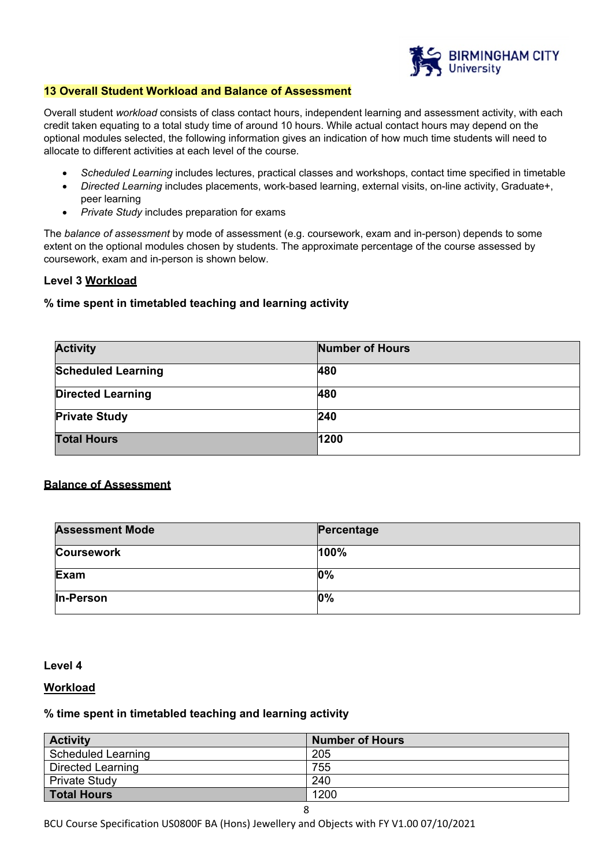

# **13 Overall Student Workload and Balance of Assessment**

Overall student *workload* consists of class contact hours, independent learning and assessment activity, with each credit taken equating to a total study time of around 10 hours. While actual contact hours may depend on the optional modules selected, the following information gives an indication of how much time students will need to allocate to different activities at each level of the course.

- *Scheduled Learning* includes lectures, practical classes and workshops, contact time specified in timetable
- *Directed Learning* includes placements, work-based learning, external visits, on-line activity, Graduate+, peer learning
- *Private Study* includes preparation for exams

The *balance of assessment* by mode of assessment (e.g. coursework, exam and in-person) depends to some extent on the optional modules chosen by students. The approximate percentage of the course assessed by coursework, exam and in-person is shown below.

# **Level 3 Workload**

# **% time spent in timetabled teaching and learning activity**

| <b>Activity</b>           | Number of Hours |
|---------------------------|-----------------|
| <b>Scheduled Learning</b> | 480             |
| <b>Directed Learning</b>  | 480             |
| <b>Private Study</b>      | 240             |
| <b>Total Hours</b>        | 1200            |

#### **Balance of Assessment**

| <b>Assessment Mode</b> | Percentage |
|------------------------|------------|
| <b>Coursework</b>      | 100%       |
| Exam                   | 0%         |
| <b>In-Person</b>       | 0%         |

#### **Level 4**

#### **Workload**

### **% time spent in timetabled teaching and learning activity**

| <b>Activity</b>           | <b>Number of Hours</b> |
|---------------------------|------------------------|
| <b>Scheduled Learning</b> | 205                    |
| <b>Directed Learning</b>  | 755                    |
| <b>Private Study</b>      | 240                    |
| <b>Total Hours</b>        | 1200                   |

BCU Course Specification US0800F BA (Hons) Jewellery and Objects with FY V1.00 07/10/2021